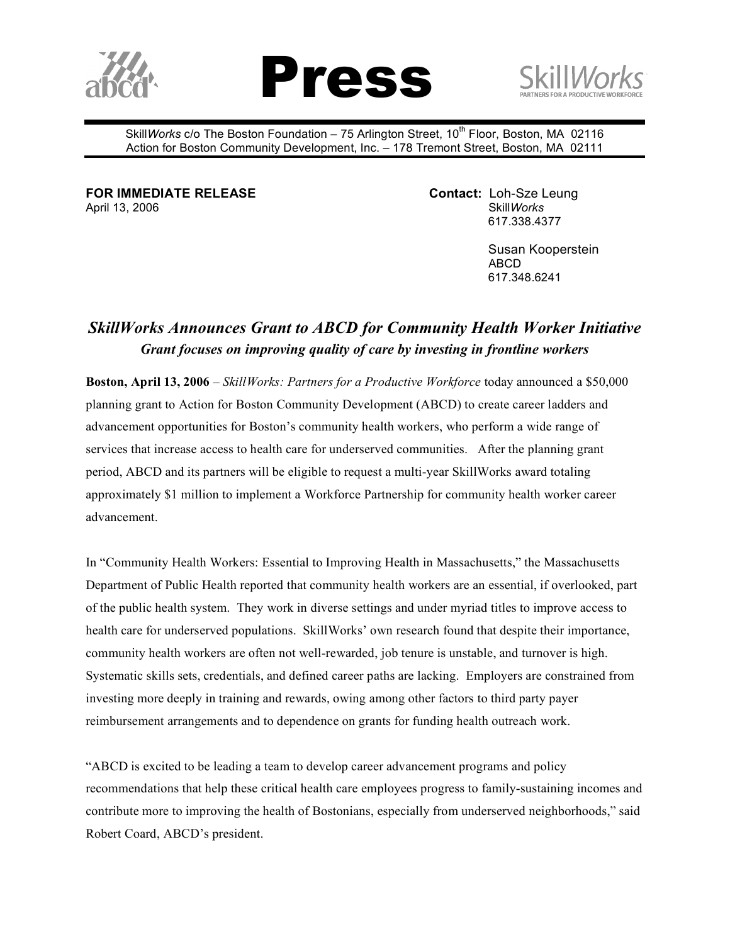





Skill*Works* c/o The Boston Foundation – 75 Arlington Street, 10<sup>th</sup> Floor, Boston, MA 02116 Action for Boston Community Development, Inc. – 178 Tremont Street, Boston, MA 02111

**FOR IMMEDIATE RELEASE Contact:** Loh-Sze Leung April 13, 2006 **Skill***Works* Skill*Works* Skill*Works* 

617.338.4377

Susan Kooperstein ABCD 617.348.6241

## *SkillWorks Announces Grant to ABCD for Community Health Worker Initiative Grant focuses on improving quality of care by investing in frontline workers*

**Boston, April 13, 2006** – *SkillWorks: Partners for a Productive Workforce* today announced a \$50,000 planning grant to Action for Boston Community Development (ABCD) to create career ladders and advancement opportunities for Boston's community health workers, who perform a wide range of services that increase access to health care for underserved communities. After the planning grant period, ABCD and its partners will be eligible to request a multi-year SkillWorks award totaling approximately \$1 million to implement a Workforce Partnership for community health worker career advancement.

In "Community Health Workers: Essential to Improving Health in Massachusetts," the Massachusetts Department of Public Health reported that community health workers are an essential, if overlooked, part of the public health system. They work in diverse settings and under myriad titles to improve access to health care for underserved populations. SkillWorks' own research found that despite their importance, community health workers are often not well-rewarded, job tenure is unstable, and turnover is high. Systematic skills sets, credentials, and defined career paths are lacking. Employers are constrained from investing more deeply in training and rewards, owing among other factors to third party payer reimbursement arrangements and to dependence on grants for funding health outreach work.

"ABCD is excited to be leading a team to develop career advancement programs and policy recommendations that help these critical health care employees progress to family-sustaining incomes and contribute more to improving the health of Bostonians, especially from underserved neighborhoods," said Robert Coard, ABCD's president.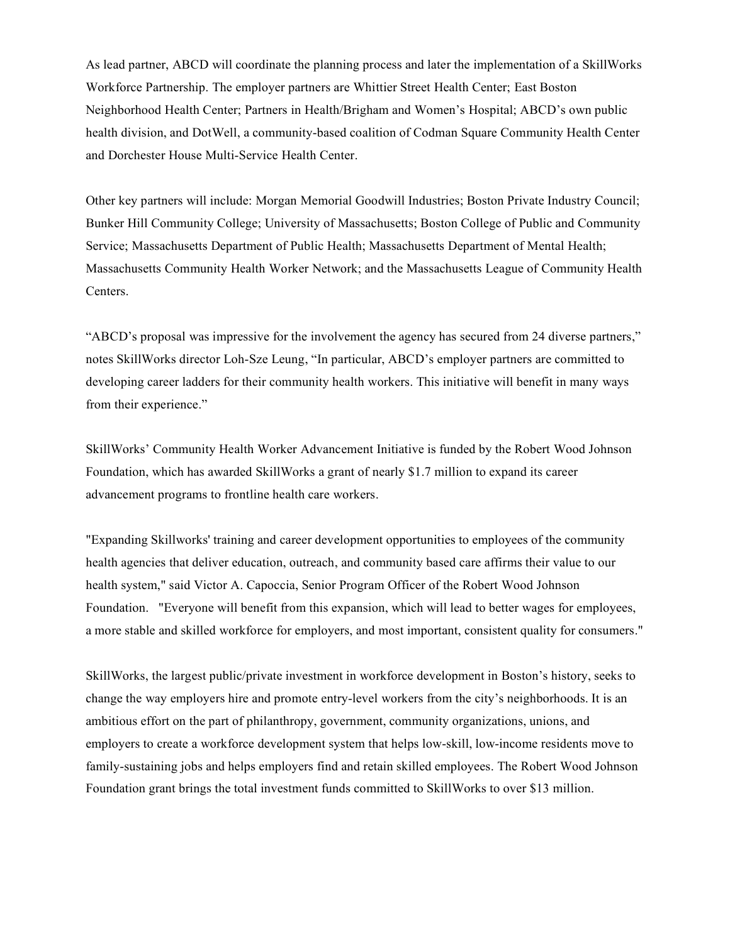As lead partner, ABCD will coordinate the planning process and later the implementation of a SkillWorks Workforce Partnership. The employer partners are Whittier Street Health Center; East Boston Neighborhood Health Center; Partners in Health/Brigham and Women's Hospital; ABCD's own public health division, and DotWell, a community-based coalition of Codman Square Community Health Center and Dorchester House Multi-Service Health Center.

Other key partners will include: Morgan Memorial Goodwill Industries; Boston Private Industry Council; Bunker Hill Community College; University of Massachusetts; Boston College of Public and Community Service; Massachusetts Department of Public Health; Massachusetts Department of Mental Health; Massachusetts Community Health Worker Network; and the Massachusetts League of Community Health Centers.

"ABCD's proposal was impressive for the involvement the agency has secured from 24 diverse partners," notes SkillWorks director Loh-Sze Leung, "In particular, ABCD's employer partners are committed to developing career ladders for their community health workers. This initiative will benefit in many ways from their experience."

SkillWorks' Community Health Worker Advancement Initiative is funded by the Robert Wood Johnson Foundation, which has awarded SkillWorks a grant of nearly \$1.7 million to expand its career advancement programs to frontline health care workers.

"Expanding Skillworks' training and career development opportunities to employees of the community health agencies that deliver education, outreach, and community based care affirms their value to our health system," said Victor A. Capoccia, Senior Program Officer of the Robert Wood Johnson Foundation. "Everyone will benefit from this expansion, which will lead to better wages for employees, a more stable and skilled workforce for employers, and most important, consistent quality for consumers."

SkillWorks, the largest public/private investment in workforce development in Boston's history, seeks to change the way employers hire and promote entry-level workers from the city's neighborhoods. It is an ambitious effort on the part of philanthropy, government, community organizations, unions, and employers to create a workforce development system that helps low-skill, low-income residents move to family-sustaining jobs and helps employers find and retain skilled employees. The Robert Wood Johnson Foundation grant brings the total investment funds committed to SkillWorks to over \$13 million.